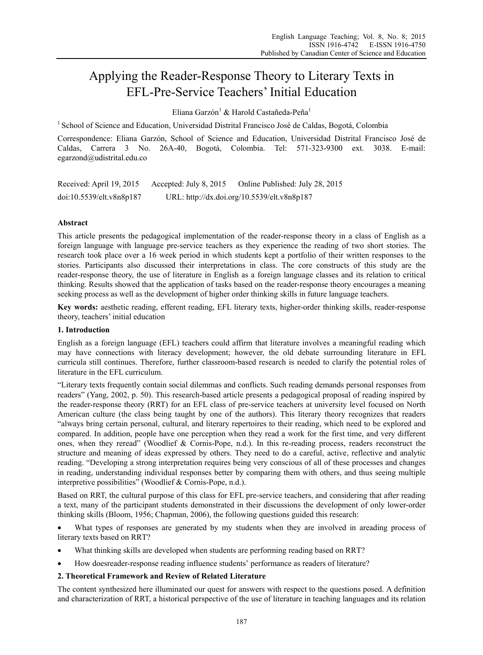# Applying the Reader-Response Theory to Literary Texts in EFL-Pre-Service Teachers' Initial Education

Eliana Garzón $^1$  & Harold Castañeda-Peña $^1$ 

<sup>1</sup> School of Science and Education, Universidad Distrital Francisco José de Caldas, Bogotá, Colombia

Correspondence: Eliana Garzón, School of Science and Education, Universidad Distrital Francisco José de Caldas, Carrera 3 No. 26A-40, Bogotá, Colombia. Tel: 571-323-9300 ext. 3038. E-mail: egarzond@udistrital.edu.co

Received: April 19, 2015 Accepted: July 8, 2015 Online Published: July 28, 2015 doi:10.5539/elt.v8n8p187 URL: http://dx.doi.org/10.5539/elt.v8n8p187

# **Abstract**

This article presents the pedagogical implementation of the reader-response theory in a class of English as a foreign language with language pre-service teachers as they experience the reading of two short stories. The research took place over a 16 week period in which students kept a portfolio of their written responses to the stories. Participants also discussed their interpretations in class. The core constructs of this study are the reader-response theory, the use of literature in English as a foreign language classes and its relation to critical thinking. Results showed that the application of tasks based on the reader-response theory encourages a meaning seeking process as well as the development of higher order thinking skills in future language teachers.

**Key words:** aesthetic reading, efferent reading, EFL literary texts, higher-order thinking skills, reader-response theory, teachers' initial education

# **1. Introduction**

English as a foreign language (EFL) teachers could affirm that literature involves a meaningful reading which may have connections with literacy development; however, the old debate surrounding literature in EFL curricula still continues. Therefore, further classroom-based research is needed to clarify the potential roles of literature in the EFL curriculum.

"Literary texts frequently contain social dilemmas and conflicts. Such reading demands personal responses from readers" (Yang, 2002, p. 50). This research-based article presents a pedagogical proposal of reading inspired by the reader-response theory (RRT) for an EFL class of pre-service teachers at university level focused on North American culture (the class being taught by one of the authors). This literary theory recognizes that readers "always bring certain personal, cultural, and literary repertoires to their reading, which need to be explored and compared. In addition, people have one perception when they read a work for the first time, and very different ones, when they reread" (Woodlief & Cornis-Pope, n.d.). In this re-reading process, readers reconstruct the structure and meaning of ideas expressed by others. They need to do a careful, active, reflective and analytic reading. "Developing a strong interpretation requires being very conscious of all of these processes and changes in reading, understanding individual responses better by comparing them with others, and thus seeing multiple interpretive possibilities" (Woodlief & Cornis-Pope, n.d.).

Based on RRT, the cultural purpose of this class for EFL pre-service teachers, and considering that after reading a text, many of the participant students demonstrated in their discussions the development of only lower-order thinking skills (Bloom, 1956; Chapman, 2006), the following questions guided this research:

- What types of responses are generated by my students when they are involved in areading process of literary texts based on RRT?
- What thinking skills are developed when students are performing reading based on RRT?
- How doesreader-response reading influence students' performance as readers of literature?

# **2. Theoretical Framework and Review of Related Literature**

The content synthesized here illuminated our quest for answers with respect to the questions posed. A definition and characterization of RRT, a historical perspective of the use of literature in teaching languages and its relation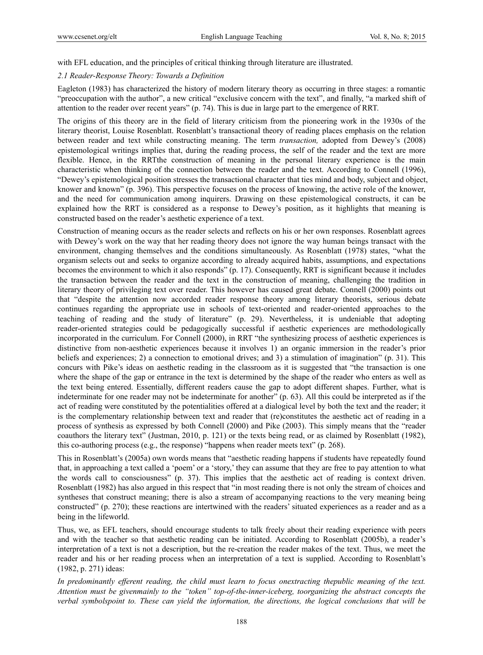with EFL education, and the principles of critical thinking through literature are illustrated.

## *2.1 Reader-Response Theory: Towards a Definition*

Eagleton (1983) has characterized the history of modern literary theory as occurring in three stages: a romantic "preoccupation with the author", a new critical "exclusive concern with the text", and finally, "a marked shift of attention to the reader over recent years" (p. 74). This is due in large part to the emergence of RRT.

The origins of this theory are in the field of literary criticism from the pioneering work in the 1930s of the literary theorist, Louise Rosenblatt. Rosenblatt's transactional theory of reading places emphasis on the relation between reader and text while constructing meaning. The term *transaction,* adopted from Dewey's (2008) epistemological writings implies that, during the reading process, the self of the reader and the text are more flexible. Hence, in the RRTthe construction of meaning in the personal literary experience is the main characteristic when thinking of the connection between the reader and the text. According to Connell (1996), "Dewey's epistemological position stresses the transactional character that ties mind and body, subject and object, knower and known" (p. 396). This perspective focuses on the process of knowing, the active role of the knower, and the need for communication among inquirers. Drawing on these epistemological constructs, it can be explained how the RRT is considered as a response to Dewey's position, as it highlights that meaning is constructed based on the reader's aesthetic experience of a text.

Construction of meaning occurs as the reader selects and reflects on his or her own responses. Rosenblatt agrees with Dewey's work on the way that her reading theory does not ignore the way human beings transact with the environment, changing themselves and the conditions simultaneously. As Rosenblatt (1978) states, "what the organism selects out and seeks to organize according to already acquired habits, assumptions, and expectations becomes the environment to which it also responds" (p. 17). Consequently, RRT is significant because it includes the transaction between the reader and the text in the construction of meaning, challenging the tradition in literary theory of privileging text over reader. This however has caused great debate. Connell (2000) points out that "despite the attention now accorded reader response theory among literary theorists, serious debate continues regarding the appropriate use in schools of text-oriented and reader-oriented approaches to the teaching of reading and the study of literature" (p. 29). Nevertheless, it is undeniable that adopting reader-oriented strategies could be pedagogically successful if aesthetic experiences are methodologically incorporated in the curriculum. For Connell (2000), in RRT "the synthesizing process of aesthetic experiences is distinctive from non-aesthetic experiences because it involves 1) an organic immersion in the reader's prior beliefs and experiences; 2) a connection to emotional drives; and 3) a stimulation of imagination" (p. 31). This concurs with Pike's ideas on aesthetic reading in the classroom as it is suggested that "the transaction is one where the shape of the gap or entrance in the text is determined by the shape of the reader who enters as well as the text being entered. Essentially, different readers cause the gap to adopt different shapes. Further, what is indeterminate for one reader may not be indeterminate for another" (p. 63). All this could be interpreted as if the act of reading were constituted by the potentialities offered at a dialogical level by both the text and the reader; it is the complementary relationship between text and reader that (re)constitutes the aesthetic act of reading in a process of synthesis as expressed by both Connell (2000) and Pike (2003). This simply means that the "reader coauthors the literary text" (Justman, 2010, p. 121) or the texts being read, or as claimed by Rosenblatt (1982), this co-authoring process (e.g., the response) "happens when reader meets text" (p. 268).

This in Rosenblatt's (2005a) own words means that "aesthetic reading happens if students have repeatedly found that, in approaching a text called a 'poem' or a 'story,' they can assume that they are free to pay attention to what the words call to consciousness" (p. 37). This implies that the aesthetic act of reading is context driven. Rosenblatt (1982) has also argued in this respect that "in most reading there is not only the stream of choices and syntheses that construct meaning; there is also a stream of accompanying reactions to the very meaning being constructed" (p. 270); these reactions are intertwined with the readers' situated experiences as a reader and as a being in the lifeworld.

Thus, we, as EFL teachers, should encourage students to talk freely about their reading experience with peers and with the teacher so that aesthetic reading can be initiated. According to Rosenblatt (2005b), a reader's interpretation of a text is not a description, but the re-creation the reader makes of the text. Thus, we meet the reader and his or her reading process when an interpretation of a text is supplied. According to Rosenblatt's (1982, p. 271) ideas:

In predominantly efferent reading, the child must learn to focus onextracting thepublic meaning of the text. *Attention must be givenmainly to the "token" top-of-the-inner-iceberg, toorganizing the abstract concepts the verbal symbolspoint to. These can yield the information, the directions, the logical conclusions that will be*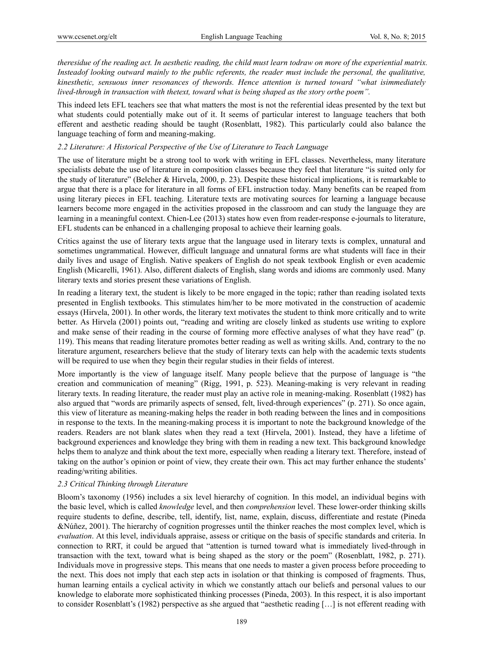*theresidue of the reading act. In aesthetic reading, the child must learn todraw on more of the experiential matrix. Insteadof looking outward mainly to the public referents, the reader must include the personal, the qualitative, kinesthetic, sensuous inner resonances of thewords. Hence attention is turned toward "what isimmediately lived-through in transaction with thetext, toward what is being shaped as the story orthe poem".* 

This indeed lets EFL teachers see that what matters the most is not the referential ideas presented by the text but what students could potentially make out of it. It seems of particular interest to language teachers that both efferent and aesthetic reading should be taught (Rosenblatt, 1982). This particularly could also balance the language teaching of form and meaning-making.

#### *2.2 Literature: A Historical Perspective of the Use of Literature to Teach Language*

The use of literature might be a strong tool to work with writing in EFL classes. Nevertheless, many literature specialists debate the use of literature in composition classes because they feel that literature "is suited only for the study of literature" (Belcher & Hirvela, 2000, p. 23). Despite these historical implications, it is remarkable to argue that there is a place for literature in all forms of EFL instruction today. Many benefits can be reaped from using literary pieces in EFL teaching. Literature texts are motivating sources for learning a language because learners become more engaged in the activities proposed in the classroom and can study the language they are learning in a meaningful context. Chien-Lee (2013) states how even from reader-response e-journals to literature, EFL students can be enhanced in a challenging proposal to achieve their learning goals.

Critics against the use of literary texts argue that the language used in literary texts is complex, unnatural and sometimes ungrammatical. However, difficult language and unnatural forms are what students will face in their daily lives and usage of English. Native speakers of English do not speak textbook English or even academic English (Micarelli, 1961). Also, different dialects of English, slang words and idioms are commonly used. Many literary texts and stories present these variations of English.

In reading a literary text, the student is likely to be more engaged in the topic; rather than reading isolated texts presented in English textbooks. This stimulates him/her to be more motivated in the construction of academic essays (Hirvela, 2001). In other words, the literary text motivates the student to think more critically and to write better. As Hirvela (2001) points out, "reading and writing are closely linked as students use writing to explore and make sense of their reading in the course of forming more effective analyses of what they have read" (p. 119). This means that reading literature promotes better reading as well as writing skills. And, contrary to the no literature argument, researchers believe that the study of literary texts can help with the academic texts students will be required to use when they begin their regular studies in their fields of interest.

More importantly is the view of language itself. Many people believe that the purpose of language is "the creation and communication of meaning" (Rigg, 1991, p. 523). Meaning-making is very relevant in reading literary texts. In reading literature, the reader must play an active role in meaning-making. Rosenblatt (1982) has also argued that "words are primarily aspects of sensed, felt, lived-through experiences" (p. 271). So once again, this view of literature as meaning-making helps the reader in both reading between the lines and in compositions in response to the texts. In the meaning-making process it is important to note the background knowledge of the readers. Readers are not blank slates when they read a text (Hirvela, 2001). Instead, they have a lifetime of background experiences and knowledge they bring with them in reading a new text. This background knowledge helps them to analyze and think about the text more, especially when reading a literary text. Therefore, instead of taking on the author's opinion or point of view, they create their own. This act may further enhance the students' reading/writing abilities.

## *2.3 Critical Thinking through Literature*

Bloom's taxonomy (1956) includes a six level hierarchy of cognition. In this model, an individual begins with the basic level, which is called *knowledge* level, and then *comprehension* level. These lower-order thinking skills require students to define, describe, tell, identify, list, name, explain, discuss, differentiate and restate (Pineda &Núñez, 2001). The hierarchy of cognition progresses until the thinker reaches the most complex level, which is *evaluation*. At this level, individuals appraise, assess or critique on the basis of specific standards and criteria. In connection to RRT, it could be argued that "attention is turned toward what is immediately lived-through in transaction with the text, toward what is being shaped as the story or the poem" (Rosenblatt, 1982, p. 271). Individuals move in progressive steps. This means that one needs to master a given process before proceeding to the next. This does not imply that each step acts in isolation or that thinking is composed of fragments. Thus, human learning entails a cyclical activity in which we constantly attach our beliefs and personal values to our knowledge to elaborate more sophisticated thinking processes (Pineda, 2003). In this respect, it is also important to consider Rosenblatt's (1982) perspective as she argued that "aesthetic reading […] is not efferent reading with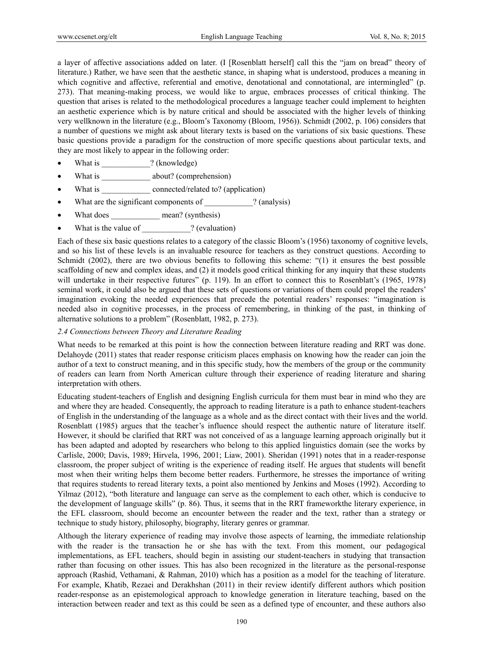a layer of affective associations added on later. (I [Rosenblatt herself] call this the "jam on bread" theory of literature.) Rather, we have seen that the aesthetic stance, in shaping what is understood, produces a meaning in which cognitive and affective, referential and emotive, denotational and connotational, are intermingled" (p. 273). That meaning-making process, we would like to argue, embraces processes of critical thinking. The question that arises is related to the methodological procedures a language teacher could implement to heighten an aesthetic experience which is by nature critical and should be associated with the higher levels of thinking very wellknown in the literature (e.g., Bloom's Taxonomy (Bloom, 1956)). Schmidt (2002, p. 106) considers that a number of questions we might ask about literary texts is based on the variations of six basic questions. These basic questions provide a paradigm for the construction of more specific questions about particular texts, and they are most likely to appear in the following order:

- What is  $\frac{1}{2}$  (knowledge)
- What is about? (comprehension)
- What is \_\_\_\_\_\_\_\_\_\_\_\_ connected/related to? (application)
- What are the significant components of ? (analysis)
- What does mean? (synthesis)
- What is the value of  $?$  (evaluation)

Each of these six basic questions relates to a category of the classic Bloom's (1956) taxonomy of cognitive levels, and so his list of these levels is an invaluable resource for teachers as they construct questions. According to Schmidt (2002), there are two obvious benefits to following this scheme: "(1) it ensures the best possible scaffolding of new and complex ideas, and (2) it models good critical thinking for any inquiry that these students will undertake in their respective futures" (p. 119). In an effort to connect this to Rosenblatt's (1965, 1978) seminal work, it could also be argued that these sets of questions or variations of them could propel the readers' imagination evoking the needed experiences that precede the potential readers' responses: "imagination is needed also in cognitive processes, in the process of remembering, in thinking of the past, in thinking of alternative solutions to a problem" (Rosenblatt, 1982, p. 273).

## *2.4 Connections between Theory and Literature Reading*

What needs to be remarked at this point is how the connection between literature reading and RRT was done. Delahoyde (2011) states that reader response criticism places emphasis on knowing how the reader can join the author of a text to construct meaning, and in this specific study, how the members of the group or the community of readers can learn from North American culture through their experience of reading literature and sharing interpretation with others.

Educating student-teachers of English and designing English curricula for them must bear in mind who they are and where they are headed. Consequently, the approach to reading literature is a path to enhance student-teachers of English in the understanding of the language as a whole and as the direct contact with their lives and the world. Rosenblatt (1985) argues that the teacher's influence should respect the authentic nature of literature itself. However, it should be clarified that RRT was not conceived of as a language learning approach originally but it has been adapted and adopted by researchers who belong to this applied linguistics domain (see the works by Carlisle, 2000; Davis, 1989; Hirvela, 1996, 2001; Liaw, 2001). Sheridan (1991) notes that in a reader-response classroom, the proper subject of writing is the experience of reading itself. He argues that students will benefit most when their writing helps them become better readers. Furthermore, he stresses the importance of writing that requires students to reread literary texts, a point also mentioned by Jenkins and Moses (1992). According to Yilmaz (2012), "both literature and language can serve as the complement to each other, which is conducive to the development of language skills" (p. 86). Thus, it seems that in the RRT frameworkthe literary experience, in the EFL classroom, should become an encounter between the reader and the text, rather than a strategy or technique to study history, philosophy, biography, literary genres or grammar.

Although the literary experience of reading may involve those aspects of learning, the immediate relationship with the reader is the transaction he or she has with the text. From this moment, our pedagogical implementations, as EFL teachers, should begin in assisting our student-teachers in studying that transaction rather than focusing on other issues. This has also been recognized in the literature as the personal-response approach (Rashid, Vethamani, & Rahman, 2010) which has a position as a model for the teaching of literature. For example, Khatib, Rezaei and Derakhshan (2011) in their review identify different authors which position reader-response as an epistemological approach to knowledge generation in literature teaching, based on the interaction between reader and text as this could be seen as a defined type of encounter, and these authors also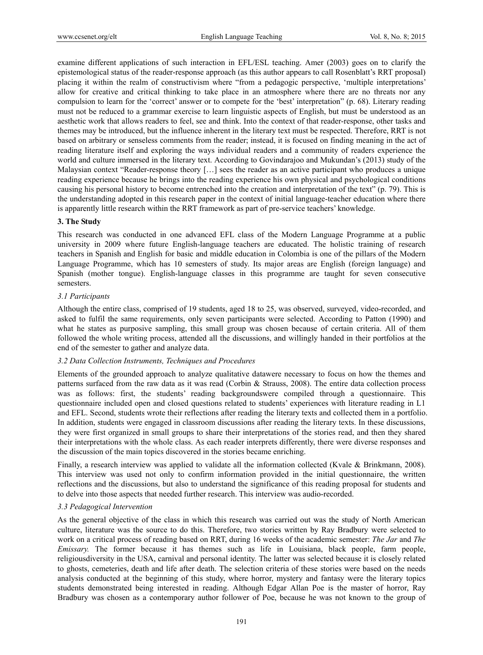examine different applications of such interaction in EFL/ESL teaching. Amer (2003) goes on to clarify the epistemological status of the reader-response approach (as this author appears to call Rosenblatt's RRT proposal) placing it within the realm of constructivism where "from a pedagogic perspective, 'multiple interpretations' allow for creative and critical thinking to take place in an atmosphere where there are no threats nor any compulsion to learn for the 'correct' answer or to compete for the 'best' interpretation" (p. 68). Literary reading must not be reduced to a grammar exercise to learn linguistic aspects of English, but must be understood as an aesthetic work that allows readers to feel, see and think. Into the context of that reader-response, other tasks and themes may be introduced, but the influence inherent in the literary text must be respected. Therefore, RRT is not based on arbitrary or senseless comments from the reader; instead, it is focused on finding meaning in the act of reading literature itself and exploring the ways individual readers and a community of readers experience the world and culture immersed in the literary text. According to Govindarajoo and Mukundan's (2013) study of the Malaysian context "Reader-response theory […] sees the reader as an active participant who produces a unique reading experience because he brings into the reading experience his own physical and psychological conditions causing his personal history to become entrenched into the creation and interpretation of the text" (p. 79). This is the understanding adopted in this research paper in the context of initial language-teacher education where there is apparently little research within the RRT framework as part of pre-service teachers' knowledge.

## **3. The Study**

This research was conducted in one advanced EFL class of the Modern Language Programme at a public university in 2009 where future English-language teachers are educated. The holistic training of research teachers in Spanish and English for basic and middle education in Colombia is one of the pillars of the Modern Language Programme, which has 10 semesters of study. Its major areas are English (foreign language) and Spanish (mother tongue). English-language classes in this programme are taught for seven consecutive semesters.

# *3.1 Participants*

Although the entire class, comprised of 19 students, aged 18 to 25, was observed, surveyed, video-recorded, and asked to fulfil the same requirements, only seven participants were selected. According to Patton (1990) and what he states as purposive sampling, this small group was chosen because of certain criteria. All of them followed the whole writing process, attended all the discussions, and willingly handed in their portfolios at the end of the semester to gather and analyze data.

## *3.2 Data Collection Instruments, Techniques and Procedures*

Elements of the grounded approach to analyze qualitative datawere necessary to focus on how the themes and patterns surfaced from the raw data as it was read (Corbin & Strauss, 2008). The entire data collection process was as follows: first, the students' reading backgroundswere compiled through a questionnaire. This questionnaire included open and closed questions related to students' experiences with literature reading in L1 and EFL. Second, students wrote their reflections after reading the literary texts and collected them in a portfolio. In addition, students were engaged in classroom discussions after reading the literary texts. In these discussions, they were first organized in small groups to share their interpretations of the stories read, and then they shared their interpretations with the whole class. As each reader interprets differently, there were diverse responses and the discussion of the main topics discovered in the stories became enriching.

Finally, a research interview was applied to validate all the information collected (Kvale & Brinkmann, 2008). This interview was used not only to confirm information provided in the initial questionnaire, the written reflections and the discussions, but also to understand the significance of this reading proposal for students and to delve into those aspects that needed further research. This interview was audio-recorded.

## *3.3 Pedagogical Intervention*

As the general objective of the class in which this research was carried out was the study of North American culture, literature was the source to do this. Therefore, two stories written by Ray Bradbury were selected to work on a critical process of reading based on RRT, during 16 weeks of the academic semester: *The Jar* and *The Emissary.* The former because it has themes such as life in Louisiana, black people, farm people, religiousdiversity in the USA, carnival and personal identity. The latter was selected because it is closely related to ghosts, cemeteries, death and life after death. The selection criteria of these stories were based on the needs analysis conducted at the beginning of this study, where horror, mystery and fantasy were the literary topics students demonstrated being interested in reading. Although Edgar Allan Poe is the master of horror, Ray Bradbury was chosen as a contemporary author follower of Poe, because he was not known to the group of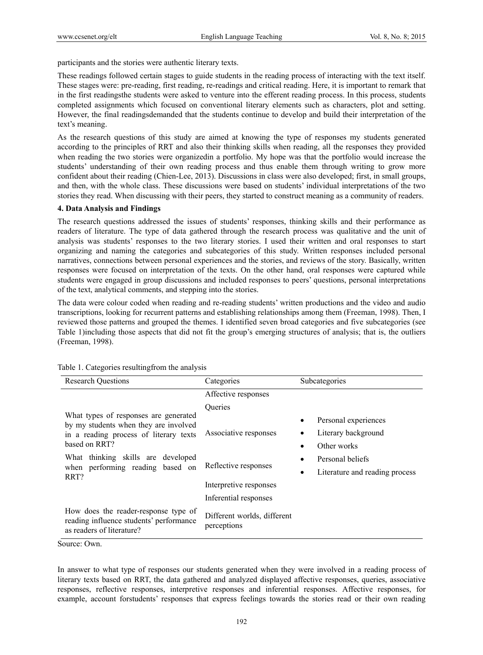participants and the stories were authentic literary texts.

These readings followed certain stages to guide students in the reading process of interacting with the text itself. These stages were: pre-reading, first reading, re-readings and critical reading. Here, it is important to remark that in the first readingsthe students were asked to venture into the efferent reading process. In this process, students completed assignments which focused on conventional literary elements such as characters, plot and setting. However, the final readingsdemanded that the students continue to develop and build their interpretation of the text's meaning.

As the research questions of this study are aimed at knowing the type of responses my students generated according to the principles of RRT and also their thinking skills when reading, all the responses they provided when reading the two stories were organizedin a portfolio. My hope was that the portfolio would increase the students' understanding of their own reading process and thus enable them through writing to grow more confident about their reading (Chien-Lee, 2013). Discussions in class were also developed; first, in small groups, and then, with the whole class. These discussions were based on students' individual interpretations of the two stories they read. When discussing with their peers, they started to construct meaning as a community of readers.

#### **4. Data Analysis and Findings**

The research questions addressed the issues of students' responses, thinking skills and their performance as readers of literature. The type of data gathered through the research process was qualitative and the unit of analysis was students' responses to the two literary stories. I used their written and oral responses to start organizing and naming the categories and subcategories of this study. Written responses included personal narratives, connections between personal experiences and the stories, and reviews of the story. Basically, written responses were focused on interpretation of the texts. On the other hand, oral responses were captured while students were engaged in group discussions and included responses to peers' questions, personal interpretations of the text, analytical comments, and stepping into the stories.

The data were colour coded when reading and re-reading students' written productions and the video and audio transcriptions, looking for recurrent patterns and establishing relationships among them (Freeman, 1998). Then, I reviewed those patterns and grouped the themes. I identified seven broad categories and five subcategories (see Table 1)including those aspects that did not fit the group's emerging structures of analysis; that is, the outliers (Freeman, 1998).

| <b>Research Questions</b>                                                                                                                                                                                                   | Categories                                               | Subcategories                                                                                                                           |
|-----------------------------------------------------------------------------------------------------------------------------------------------------------------------------------------------------------------------------|----------------------------------------------------------|-----------------------------------------------------------------------------------------------------------------------------------------|
|                                                                                                                                                                                                                             | Affective responses                                      |                                                                                                                                         |
| What types of responses are generated<br>by my students when they are involved<br>in a reading process of literary texts<br>based on RRT?<br>What thinking skills are developed<br>when performing reading based on<br>RRT? | Queries<br>Associative responses<br>Reflective responses | Personal experiences<br>$\bullet$<br>Literary background<br>٠<br>Other works<br>Personal beliefs<br>Literature and reading process<br>٠ |
|                                                                                                                                                                                                                             | Interpretive responses                                   |                                                                                                                                         |
|                                                                                                                                                                                                                             | Inferential responses                                    |                                                                                                                                         |
| How does the reader-response type of<br>reading influence students' performance<br>as readers of literature?                                                                                                                | Different worlds, different<br>perceptions               |                                                                                                                                         |

Table 1. Categories resultingfrom the analysis

Source: Own.

In answer to what type of responses our students generated when they were involved in a reading process of literary texts based on RRT, the data gathered and analyzed displayed affective responses, queries, associative responses, reflective responses, interpretive responses and inferential responses. Affective responses, for example, account forstudents' responses that express feelings towards the stories read or their own reading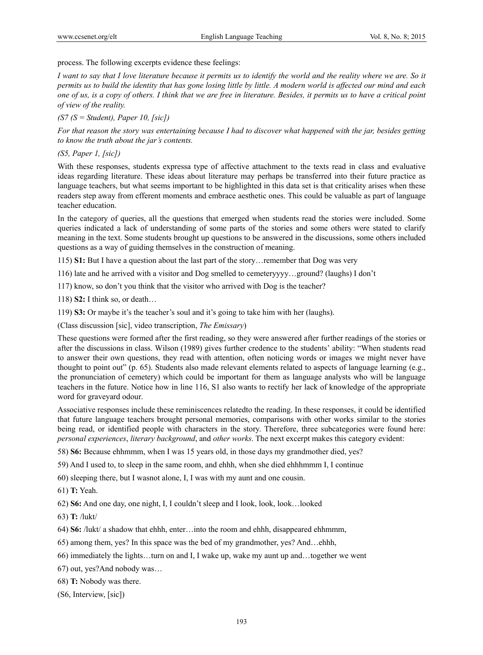process. The following excerpts evidence these feelings:

*I want to say that I love literature because it permits us to identify the world and the reality where we are. So it permits us to build the identity that has gone losing little by little. A modern world is affected our mind and each one of us, is a copy of others. I think that we are free in literature. Besides, it permits us to have a critical point of view of the reality.* 

# *(S7 (S = Student), Paper 10, [sic])*

*For that reason the story was entertaining because I had to discover what happened with the jar, besides getting to know the truth about the jar's contents.* 

*(S5, Paper 1, [sic])* 

With these responses, students expressa type of affective attachment to the texts read in class and evaluative ideas regarding literature. These ideas about literature may perhaps be transferred into their future practice as language teachers, but what seems important to be highlighted in this data set is that criticality arises when these readers step away from efferent moments and embrace aesthetic ones. This could be valuable as part of language teacher education.

In the category of queries, all the questions that emerged when students read the stories were included. Some queries indicated a lack of understanding of some parts of the stories and some others were stated to clarify meaning in the text. Some students brought up questions to be answered in the discussions, some others included questions as a way of guiding themselves in the construction of meaning.

115) **S1:** But I have a question about the last part of the story…remember that Dog was very

116) late and he arrived with a visitor and Dog smelled to cemeteryyyy…ground? (laughs) I don't

117) know, so don't you think that the visitor who arrived with Dog is the teacher?

118) **S2:** I think so, or death…

119) **S3:** Or maybe it's the teacher's soul and it's going to take him with her (laughs).

(Class discussion [sic], video transcription, *The Emissary*)

These questions were formed after the first reading, so they were answered after further readings of the stories or after the discussions in class. Wilson (1989) gives further credence to the students' ability: "When students read to answer their own questions, they read with attention, often noticing words or images we might never have thought to point out" (p. 65). Students also made relevant elements related to aspects of language learning (e.g., the pronunciation of cemetery) which could be important for them as language analysts who will be language teachers in the future. Notice how in line 116, S1 also wants to rectify her lack of knowledge of the appropriate word for graveyard odour.

Associative responses include these reminiscences relatedto the reading. In these responses, it could be identified that future language teachers brought personal memories, comparisons with other works similar to the stories being read, or identified people with characters in the story. Therefore, three subcategories were found here: *personal experiences*, *literary background*, and *other works*. The next excerpt makes this category evident:

58) **S6:** Because ehhmmm, when I was 15 years old, in those days my grandmother died, yes?

59) And I used to, to sleep in the same room, and ehhh, when she died ehhhmmm I, I continue

60) sleeping there, but I wasnot alone, I, I was with my aunt and one cousin.

61) **T:** Yeah.

62) **S6:** And one day, one night, I, I couldn't sleep and I look, look, look…looked

63) **T:** /lukt/

64) **S6:** /lukt/ a shadow that ehhh, enter…into the room and ehhh, disappeared ehhmmm,

65) among them, yes? In this space was the bed of my grandmother, yes? And…ehhh,

66) immediately the lights…turn on and I, I wake up, wake my aunt up and…together we went

67) out, yes?And nobody was…

68) **T:** Nobody was there.

(S6, Interview, [sic])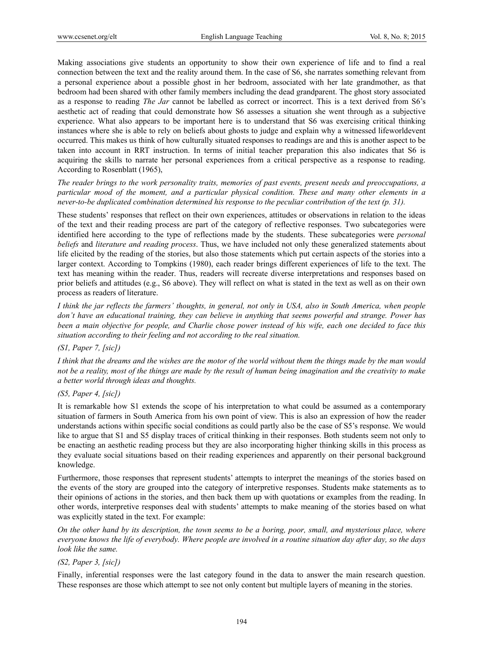Making associations give students an opportunity to show their own experience of life and to find a real connection between the text and the reality around them. In the case of S6, she narrates something relevant from a personal experience about a possible ghost in her bedroom, associated with her late grandmother, as that bedroom had been shared with other family members including the dead grandparent. The ghost story associated as a response to reading *The Jar* cannot be labelled as correct or incorrect. This is a text derived from S6's aesthetic act of reading that could demonstrate how S6 assesses a situation she went through as a subjective experience. What also appears to be important here is to understand that S6 was exercising critical thinking instances where she is able to rely on beliefs about ghosts to judge and explain why a witnessed lifeworldevent occurred. This makes us think of how culturally situated responses to readings are and this is another aspect to be taken into account in RRT instruction. In terms of initial teacher preparation this also indicates that S6 is acquiring the skills to narrate her personal experiences from a critical perspective as a response to reading. According to Rosenblatt (1965),

*The reader brings to the work personality traits, memories of past events, present needs and preoccupations, a particular mood of the moment, and a particular physical condition. These and many other elements in a never-to-be duplicated combination determined his response to the peculiar contribution of the text (p. 31).* 

These students' responses that reflect on their own experiences, attitudes or observations in relation to the ideas of the text and their reading process are part of the category of reflective responses. Two subcategories were identified here according to the type of reflections made by the students. These subcategories were *personal beliefs* and *literature and reading process*. Thus, we have included not only these generalized statements about life elicited by the reading of the stories, but also those statements which put certain aspects of the stories into a larger context. According to Tompkins (1980), each reader brings different experiences of life to the text. The text has meaning within the reader. Thus, readers will recreate diverse interpretations and responses based on prior beliefs and attitudes (e.g., S6 above). They will reflect on what is stated in the text as well as on their own process as readers of literature.

*I think the jar reflects the farmers' thoughts, in general, not only in USA, also in South America, when people don't have an educational training, they can believe in anything that seems powerful and strange. Power has been a main objective for people, and Charlie chose power instead of his wife, each one decided to face this situation according to their feeling and not according to the real situation.* 

# *(S1, Paper 7, [sic])*

*I think that the dreams and the wishes are the motor of the world without them the things made by the man would not be a reality, most of the things are made by the result of human being imagination and the creativity to make a better world through ideas and thoughts.* 

#### *(S5, Paper 4, [sic])*

It is remarkable how S1 extends the scope of his interpretation to what could be assumed as a contemporary situation of farmers in South America from his own point of view. This is also an expression of how the reader understands actions within specific social conditions as could partly also be the case of S5's response. We would like to argue that S1 and S5 display traces of critical thinking in their responses. Both students seem not only to be enacting an aesthetic reading process but they are also incorporating higher thinking skills in this process as they evaluate social situations based on their reading experiences and apparently on their personal background knowledge.

Furthermore, those responses that represent students' attempts to interpret the meanings of the stories based on the events of the story are grouped into the category of interpretive responses. Students make statements as to their opinions of actions in the stories, and then back them up with quotations or examples from the reading. In other words, interpretive responses deal with students' attempts to make meaning of the stories based on what was explicitly stated in the text. For example:

*On the other hand by its description, the town seems to be a boring, poor, small, and mysterious place, where everyone knows the life of everybody. Where people are involved in a routine situation day after day, so the days look like the same.* 

#### *(S2, Paper 3, [sic])*

Finally, inferential responses were the last category found in the data to answer the main research question. These responses are those which attempt to see not only content but multiple layers of meaning in the stories.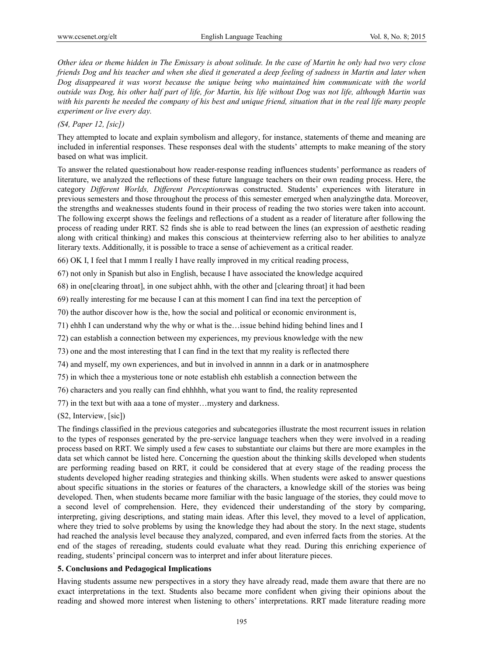*Other idea or theme hidden in The Emissary is about solitude. In the case of Martin he only had two very close friends Dog and his teacher and when she died it generated a deep feeling of sadness in Martin and later when Dog disappeared it was worst because the unique being who maintained him communicate with the world outside was Dog, his other half part of life, for Martin, his life without Dog was not life, although Martin was with his parents he needed the company of his best and unique friend, situation that in the real life many people experiment or live every day.* 

# *(S4, Paper 12, [sic])*

They attempted to locate and explain symbolism and allegory, for instance, statements of theme and meaning are included in inferential responses. These responses deal with the students' attempts to make meaning of the story based on what was implicit.

To answer the related questionabout how reader-response reading influences students' performance as readers of literature, we analyzed the reflections of these future language teachers on their own reading process. Here, the category *Different Worlds, Different Perceptions*was constructed. Students' experiences with literature in previous semesters and those throughout the process of this semester emerged when analyzingthe data. Moreover, the strengths and weaknesses students found in their process of reading the two stories were taken into account. The following excerpt shows the feelings and reflections of a student as a reader of literature after following the process of reading under RRT. S2 finds she is able to read between the lines (an expression of aesthetic reading along with critical thinking) and makes this conscious at theinterview referring also to her abilities to analyze literary texts. Additionally, it is possible to trace a sense of achievement as a critical reader.

66) OK I, I feel that I mmm I really I have really improved in my critical reading process,

67) not only in Spanish but also in English, because I have associated the knowledge acquired

68) in one[clearing throat], in one subject ahhh, with the other and [clearing throat] it had been

69) really interesting for me because I can at this moment I can find ina text the perception of

70) the author discover how is the, how the social and political or economic environment is,

71) ehhh I can understand why the why or what is the…issue behind hiding behind lines and I

72) can establish a connection between my experiences, my previous knowledge with the new

73) one and the most interesting that I can find in the text that my reality is reflected there

74) and myself, my own experiences, and but in involved in annnn in a dark or in anatmosphere

75) in which thee a mysterious tone or note establish ehh establish a connection between the

76) characters and you really can find ehhhhh, what you want to find, the reality represented

77) in the text but with aaa a tone of myster…mystery and darkness.

(S2, Interview, [sic])

The findings classified in the previous categories and subcategories illustrate the most recurrent issues in relation to the types of responses generated by the pre-service language teachers when they were involved in a reading process based on RRT. We simply used a few cases to substantiate our claims but there are more examples in the data set which cannot be listed here. Concerning the question about the thinking skills developed when students are performing reading based on RRT, it could be considered that at every stage of the reading process the students developed higher reading strategies and thinking skills. When students were asked to answer questions about specific situations in the stories or features of the characters, a knowledge skill of the stories was being developed. Then, when students became more familiar with the basic language of the stories, they could move to a second level of comprehension. Here, they evidenced their understanding of the story by comparing, interpreting, giving descriptions, and stating main ideas. After this level, they moved to a level of application, where they tried to solve problems by using the knowledge they had about the story. In the next stage, students had reached the analysis level because they analyzed, compared, and even inferred facts from the stories. At the end of the stages of rereading, students could evaluate what they read. During this enriching experience of reading, students' principal concern was to interpret and infer about literature pieces.

## **5. Conclusions and Pedagogical Implications**

Having students assume new perspectives in a story they have already read, made them aware that there are no exact interpretations in the text. Students also became more confident when giving their opinions about the reading and showed more interest when listening to others' interpretations. RRT made literature reading more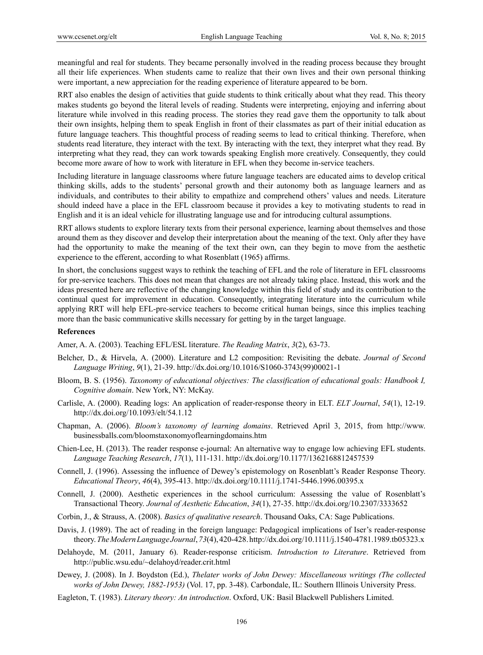meaningful and real for students. They became personally involved in the reading process because they brought all their life experiences. When students came to realize that their own lives and their own personal thinking were important, a new appreciation for the reading experience of literature appeared to be born.

RRT also enables the design of activities that guide students to think critically about what they read. This theory makes students go beyond the literal levels of reading. Students were interpreting, enjoying and inferring about literature while involved in this reading process. The stories they read gave them the opportunity to talk about their own insights, helping them to speak English in front of their classmates as part of their initial education as future language teachers. This thoughtful process of reading seems to lead to critical thinking. Therefore, when students read literature, they interact with the text. By interacting with the text, they interpret what they read. By interpreting what they read, they can work towards speaking English more creatively. Consequently, they could become more aware of how to work with literature in EFL when they become in-service teachers.

Including literature in language classrooms where future language teachers are educated aims to develop critical thinking skills, adds to the students' personal growth and their autonomy both as language learners and as individuals, and contributes to their ability to empathize and comprehend others' values and needs. Literature should indeed have a place in the EFL classroom because it provides a key to motivating students to read in English and it is an ideal vehicle for illustrating language use and for introducing cultural assumptions.

RRT allows students to explore literary texts from their personal experience, learning about themselves and those around them as they discover and develop their interpretation about the meaning of the text. Only after they have had the opportunity to make the meaning of the text their own, can they begin to move from the aesthetic experience to the efferent, according to what Rosenblatt (1965) affirms.

In short, the conclusions suggest ways to rethink the teaching of EFL and the role of literature in EFL classrooms for pre-service teachers. This does not mean that changes are not already taking place. Instead, this work and the ideas presented here are reflective of the changing knowledge within this field of study and its contribution to the continual quest for improvement in education. Consequently, integrating literature into the curriculum while applying RRT will help EFL-pre-service teachers to become critical human beings, since this implies teaching more than the basic communicative skills necessary for getting by in the target language.

#### **References**

Amer, A. A. (2003). Teaching EFL/ESL literature. *The Reading Matrix*, *3*(2), 63-73.

- Belcher, D., & Hirvela, A. (2000). Literature and L2 composition: Revisiting the debate. *Journal of Second Language Writing*, *9*(1), 21-39. http://dx.doi.org/10.1016/S1060-3743(99)00021-1
- Bloom, B. S. (1956). *Taxonomy of educational objectives: The classification of educational goals: Handbook I, Cognitive domain*. New York, NY: McKay.
- Carlisle, A. (2000). Reading logs: An application of reader-response theory in ELT. *ELT Journal*, *54*(1), 12-19. http://dx.doi.org/10.1093/elt/54.1.12
- Chapman, A. (2006). *Bloom's taxonomy of learning domains*. Retrieved April 3, 2015, from http://www. businessballs.com/bloomstaxonomyoflearningdomains.htm
- Chien-Lee, H. (2013). The reader response e-journal: An alternative way to engage low achieving EFL students. *Language Teaching Research*, *17*(1), 111-131. http://dx.doi.org/10.1177/1362168812457539
- Connell, J. (1996). Assessing the influence of Dewey's epistemology on Rosenblatt's Reader Response Theory. *Educational Theory*, *46*(4), 395-413. http://dx.doi.org/10.1111/j.1741-5446.1996.00395.x
- Connell, J. (2000). Aesthetic experiences in the school curriculum: Assessing the value of Rosenblatt's Transactional Theory. *Journal of Aesthetic Education*, *34*(1), 27-35. http://dx.doi.org/10.2307/3333652
- Corbin, J., & Strauss, A. (2008). *Basics of qualitative research*. Thousand Oaks, CA: Sage Publications.
- Davis, J. (1989). The act of reading in the foreign language: Pedagogical implications of Iser's reader-response theory.*TheModernLanguage Journal*,*73*(4),420-428.http://dx.doi.org/10.1111/j.1540-4781.1989.tb05323.x
- Delahoyde, M. (2011, January 6). Reader-response criticism. *Introduction to Literature*. Retrieved from http://public.wsu.edu/~delahoyd/reader.crit.html
- Dewey, J. (2008). In J. Boydston (Ed.), *Thelater works of John Dewey: Miscellaneous writings (The collected works of John Dewey, 1882-1953)* (Vol. 17, pp. 3-48). Carbondale, IL: Southern Illinois University Press.
- Eagleton, T. (1983). *Literary theory: An introduction*. Oxford, UK: Basil Blackwell Publishers Limited.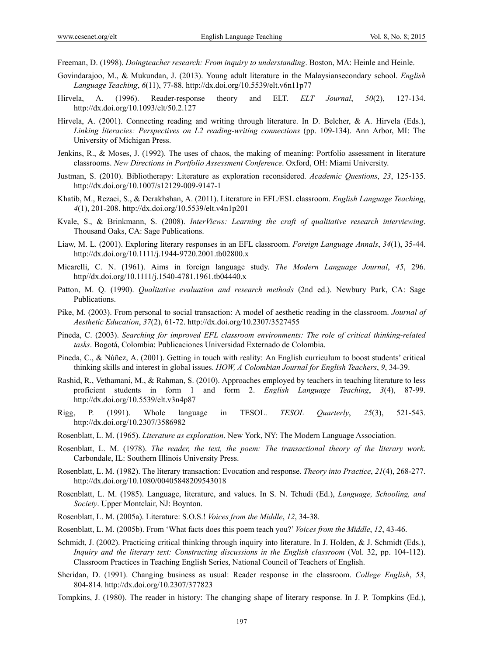Freeman, D. (1998). *Doingteacher research: From inquiry to understanding*. Boston, MA: Heinle and Heinle.

- Govindarajoo, M., & Mukundan, J. (2013). Young adult literature in the Malaysiansecondary school. *English Language Teaching*, *6*(11), 77-88. http://dx.doi.org/10.5539/elt.v6n11p77
- Hirvela, A. (1996). Reader-response theory and ELT. *ELT Journal*, *50*(2), 127-134. http://dx.doi.org/10.1093/elt/50.2.127
- Hirvela, A. (2001). Connecting reading and writing through literature. In D. Belcher, & A. Hirvela (Eds.), *Linking literacies: Perspectives on L2 reading-writing connections* (pp. 109-134). Ann Arbor, MI: The University of Michigan Press.
- Jenkins, R., & Moses, J. (1992). The uses of chaos, the making of meaning: Portfolio assessment in literature classrooms. *New Directions in Portfolio Assessment Conference*. Oxford, OH: Miami University.
- Justman, S. (2010). Bibliotherapy: Literature as exploration reconsidered. *Academic Questions*, *23*, 125-135. http://dx.doi.org/10.1007/s12129-009-9147-1
- Khatib, M., Rezaei, S., & Derakhshan, A. (2011). Literature in EFL/ESL classroom. *English Language Teaching*, *4*(1), 201-208. http://dx.doi.org/10.5539/elt.v4n1p201
- Kvale, S., & Brinkmann, S. (2008). *InterViews: Learning the craft of qualitative research interviewing*. Thousand Oaks, CA: Sage Publications.
- Liaw, M. L. (2001). Exploring literary responses in an EFL classroom. *Foreign Language Annals*, *34*(1), 35-44. http://dx.doi.org/10.1111/j.1944-9720.2001.tb02800.x
- Micarelli, C. N. (1961). Aims in foreign language study. *The Modern Language Journal*, *45*, 296. http//dx.doi.org/10.1111/j.1540-4781.1961.tb04440.x
- Patton, M. Q. (1990). *Qualitative evaluation and research methods* (2nd ed.). Newbury Park, CA: Sage Publications.
- Pike, M. (2003). From personal to social transaction: A model of aesthetic reading in the classroom. *Journal of Aesthetic Education*, *37*(2), 61-72. http://dx.doi.org/10.2307/3527455
- Pineda, C. (2003). *Searching for improved EFL classroom environments: The role of critical thinking-related tasks*. Bogotá, Colombia: Publicaciones Universidad Externado de Colombia.
- Pineda, C., & Núñez, A. (2001). Getting in touch with reality: An English curriculum to boost students' critical thinking skills and interest in global issues. *HOW, A Colombian Journal for English Teachers*, *9*, 34-39.
- Rashid, R., Vethamani, M., & Rahman, S. (2010). Approaches employed by teachers in teaching literature to less proficient students in form 1 and form 2. *English Language Teaching*, *3*(4), 87-99. http://dx.doi.org/10.5539/elt.v3n4p87
- Rigg, P. (1991). Whole language in TESOL. *TESOL Quarterly*, *25*(3), 521-543. http://dx.doi.org/10.2307/3586982
- Rosenblatt, L. M. (1965). *Literature as exploration*. New York, NY: The Modern Language Association.
- Rosenblatt, L. M. (1978). *The reader, the text, the poem: The transactional theory of the literary work*. Carbondale, IL: Southern Illinois University Press.
- Rosenblatt, L. M. (1982). The literary transaction: Evocation and response. *Theory into Practice*, *21*(4), 268-277. http://dx.doi.org/10.1080/00405848209543018
- Rosenblatt, L. M. (1985). Language, literature, and values. In S. N. Tchudi (Ed.), *Language, Schooling, and Society*. Upper Montclair, NJ: Boynton.
- Rosenblatt, L. M. (2005a). Literature: S.O.S.! *Voices from the Middle*, *12*, 34-38.
- Rosenblatt, L. M. (2005b). From 'What facts does this poem teach you?' *Voices from the Middle*, *12*, 43-46.
- Schmidt, J. (2002). Practicing critical thinking through inquiry into literature. In J. Holden, & J. Schmidt (Eds.), *Inquiry and the literary text: Constructing discussions in the English classroom (Vol. 32, pp. 104-112).* Classroom Practices in Teaching English Series, National Council of Teachers of English.
- Sheridan, D. (1991). Changing business as usual: Reader response in the classroom. *College English*, *53*, 804-814. http://dx.doi.org/10.2307/377823
- Tompkins, J. (1980). The reader in history: The changing shape of literary response. In J. P. Tompkins (Ed.),